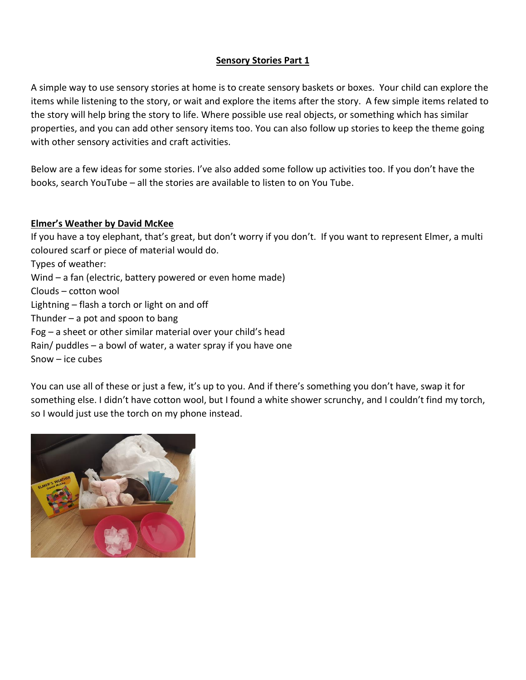### **Sensory Stories Part 1**

A simple way to use sensory stories at home is to create sensory baskets or boxes. Your child can explore the items while listening to the story, or wait and explore the items after the story. A few simple items related to the story will help bring the story to life. Where possible use real objects, or something which has similar properties, and you can add other sensory items too. You can also follow up stories to keep the theme going with other sensory activities and craft activities.

Below are a few ideas for some stories. I've also added some follow up activities too. If you don't have the books, search YouTube – all the stories are available to listen to on You Tube.

# **Elmer's Weather by David McKee**

If you have a toy elephant, that's great, but don't worry if you don't. If you want to represent Elmer, a multi coloured scarf or piece of material would do. Types of weather: Wind – a fan (electric, battery powered or even home made) Clouds – cotton wool Lightning – flash a torch or light on and off Thunder  $-$  a pot and spoon to bang Fog – a sheet or other similar material over your child's head Rain/ puddles – a bowl of water, a water spray if you have one Snow – ice cubes

You can use all of these or just a few, it's up to you. And if there's something you don't have, swap it for something else. I didn't have cotton wool, but I found a white shower scrunchy, and I couldn't find my torch, so I would just use the torch on my phone instead.

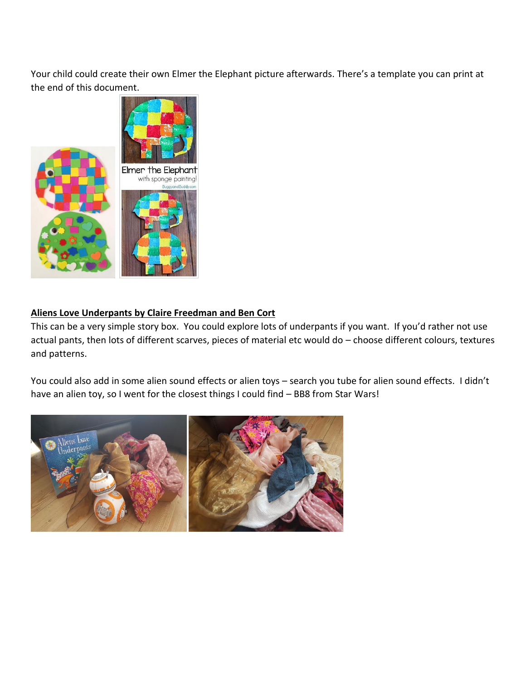Your child could create their own Elmer the Elephant picture afterwards. There's a template you can print at the end of this document.



# **Aliens Love Underpants by Claire Freedman and Ben Cort**

This can be a very simple story box. You could explore lots of underpants if you want. If you'd rather not use actual pants, then lots of different scarves, pieces of material etc would do – choose different colours, textures and patterns.

You could also add in some alien sound effects or alien toys – search you tube for alien sound effects. I didn't have an alien toy, so I went for the closest things I could find - BB8 from Star Wars!

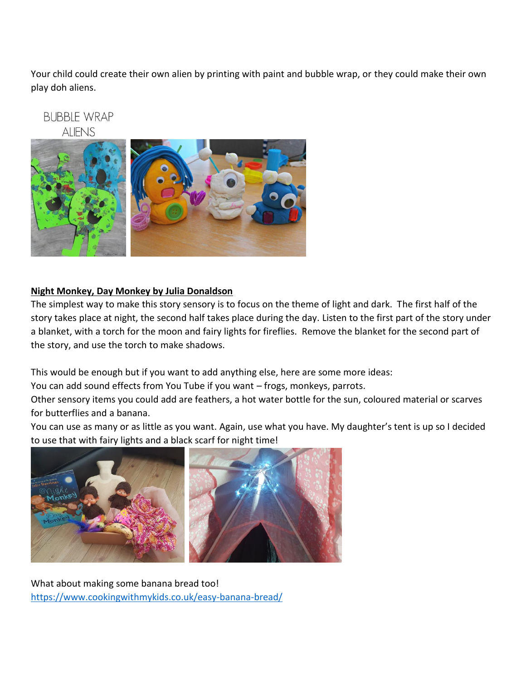Your child could create their own alien by printing with paint and bubble wrap, or they could make their own play doh aliens.

**BUBBLE WRAP ALIENS** 



# **Night Monkey, Day Monkey by Julia Donaldson**

The simplest way to make this story sensory is to focus on the theme of light and dark. The first half of the story takes place at night, the second half takes place during the day. Listen to the first part of the story under a blanket, with a torch for the moon and fairy lights for fireflies. Remove the blanket for the second part of the story, and use the torch to make shadows.

This would be enough but if you want to add anything else, here are some more ideas:

You can add sound effects from You Tube if you want – frogs, monkeys, parrots.

Other sensory items you could add are feathers, a hot water bottle for the sun, coloured material or scarves for butterflies and a banana.

You can use as many or as little as you want. Again, use what you have. My daughter's tent is up so I decided to use that with fairy lights and a black scarf for night time!



What about making some banana bread too! <https://www.cookingwithmykids.co.uk/easy-banana-bread/>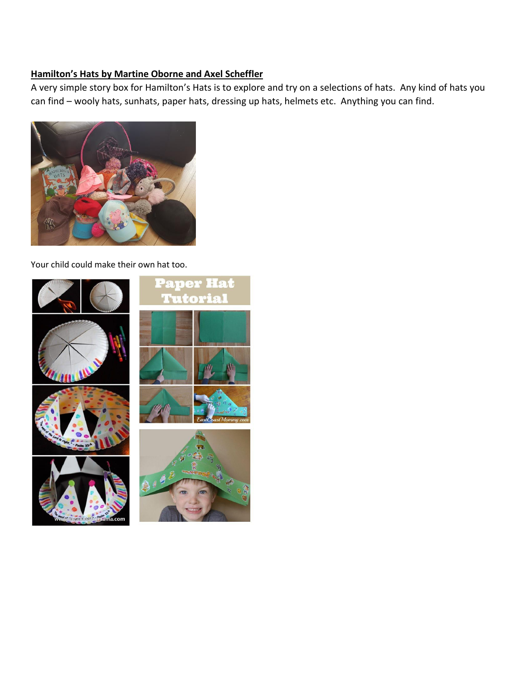# **Hamilton's Hats by Martine Oborne and Axel Scheffler**

A very simple story box for Hamilton's Hats is to explore and try on a selections of hats. Any kind of hats you can find – wooly hats, sunhats, paper hats, dressing up hats, helmets etc. Anything you can find.



Your child could make their own hat too.